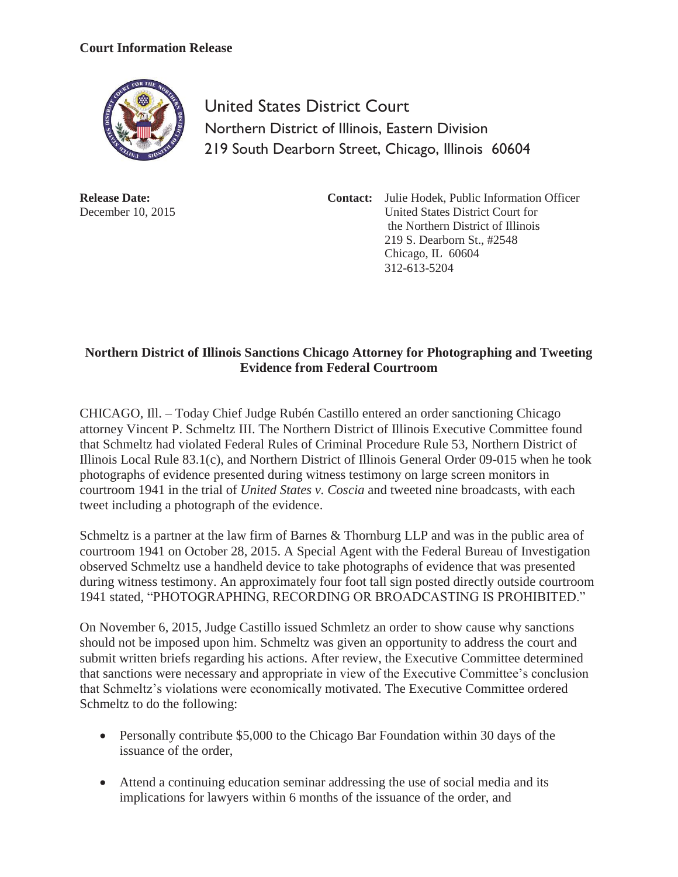## **Court Information Release**



United States District Court Northern District of Illinois, Eastern Division 219 South Dearborn Street, Chicago, Illinois 60604

**Release Date:**  December 10, 2015 **Contact:** Julie Hodek, Public Information Officer United States District Court for the Northern District of Illinois 219 S. Dearborn St., #2548 Chicago, IL 60604 312-613-5204

## **Northern District of Illinois Sanctions Chicago Attorney for Photographing and Tweeting Evidence from Federal Courtroom**

CHICAGO, Ill. – Today Chief Judge Rubén Castillo entered an order sanctioning Chicago attorney Vincent P. Schmeltz III. The Northern District of Illinois Executive Committee found that Schmeltz had violated Federal Rules of Criminal Procedure Rule 53, Northern District of Illinois Local Rule 83.1(c), and Northern District of Illinois General Order 09-015 when he took photographs of evidence presented during witness testimony on large screen monitors in courtroom 1941 in the trial of *United States v. Coscia* and tweeted nine broadcasts, with each tweet including a photograph of the evidence.

Schmeltz is a partner at the law firm of Barnes & Thornburg LLP and was in the public area of courtroom 1941 on October 28, 2015. A Special Agent with the Federal Bureau of Investigation observed Schmeltz use a handheld device to take photographs of evidence that was presented during witness testimony. An approximately four foot tall sign posted directly outside courtroom 1941 stated, "PHOTOGRAPHING, RECORDING OR BROADCASTING IS PROHIBITED."

On November 6, 2015, Judge Castillo issued Schmletz an order to show cause why sanctions should not be imposed upon him. Schmeltz was given an opportunity to address the court and submit written briefs regarding his actions. After review, the Executive Committee determined that sanctions were necessary and appropriate in view of the Executive Committee's conclusion that Schmeltz's violations were economically motivated. The Executive Committee ordered Schmeltz to do the following:

- Personally contribute \$5,000 to the Chicago Bar Foundation within 30 days of the issuance of the order,
- Attend a continuing education seminar addressing the use of social media and its implications for lawyers within 6 months of the issuance of the order, and